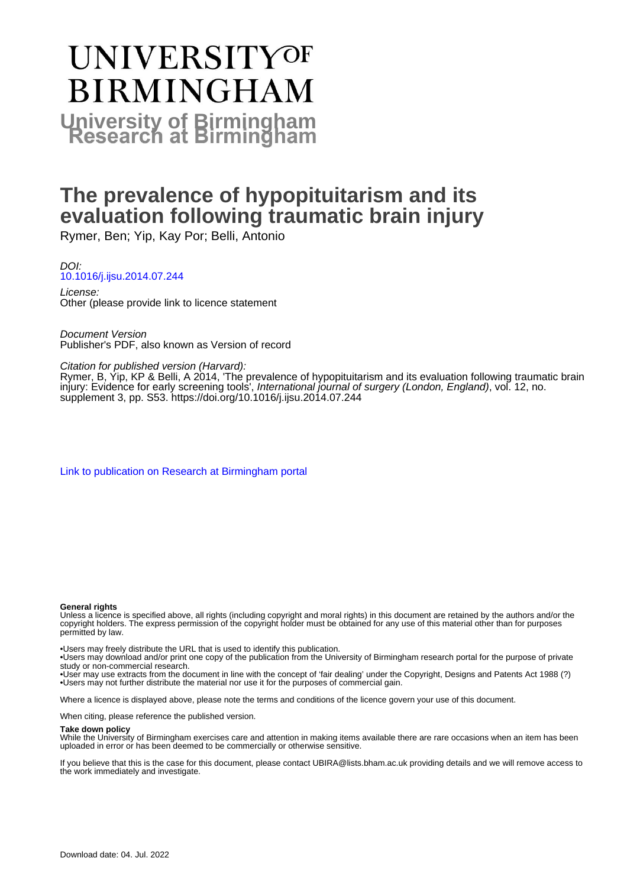# **UNIVERSITYOF BIRMINGHAM University of Birmingham**

# **The prevalence of hypopituitarism and its evaluation following traumatic brain injury**

Rymer, Ben; Yip, Kay Por; Belli, Antonio

DOI: [10.1016/j.ijsu.2014.07.244](https://doi.org/10.1016/j.ijsu.2014.07.244)

License: Other (please provide link to licence statement

Document Version Publisher's PDF, also known as Version of record

# Citation for published version (Harvard):

Rymer, B, Yip, KP & Belli, A 2014, 'The prevalence of hypopituitarism and its evaluation following traumatic brain injury: Evidence for early screening tools', International journal of surgery (London, England), vol. 12, no. supplement 3, pp. S53. <https://doi.org/10.1016/j.ijsu.2014.07.244>

[Link to publication on Research at Birmingham portal](https://birmingham.elsevierpure.com/en/publications/be37339c-3d0d-43cf-afce-0e110d358373)

## **General rights**

Unless a licence is specified above, all rights (including copyright and moral rights) in this document are retained by the authors and/or the copyright holders. The express permission of the copyright holder must be obtained for any use of this material other than for purposes permitted by law.

• Users may freely distribute the URL that is used to identify this publication.

• Users may download and/or print one copy of the publication from the University of Birmingham research portal for the purpose of private study or non-commercial research.

• User may use extracts from the document in line with the concept of 'fair dealing' under the Copyright, Designs and Patents Act 1988 (?) • Users may not further distribute the material nor use it for the purposes of commercial gain.

Where a licence is displayed above, please note the terms and conditions of the licence govern your use of this document.

When citing, please reference the published version.

## **Take down policy**

While the University of Birmingham exercises care and attention in making items available there are rare occasions when an item has been uploaded in error or has been deemed to be commercially or otherwise sensitive.

If you believe that this is the case for this document, please contact UBIRA@lists.bham.ac.uk providing details and we will remove access to the work immediately and investigate.